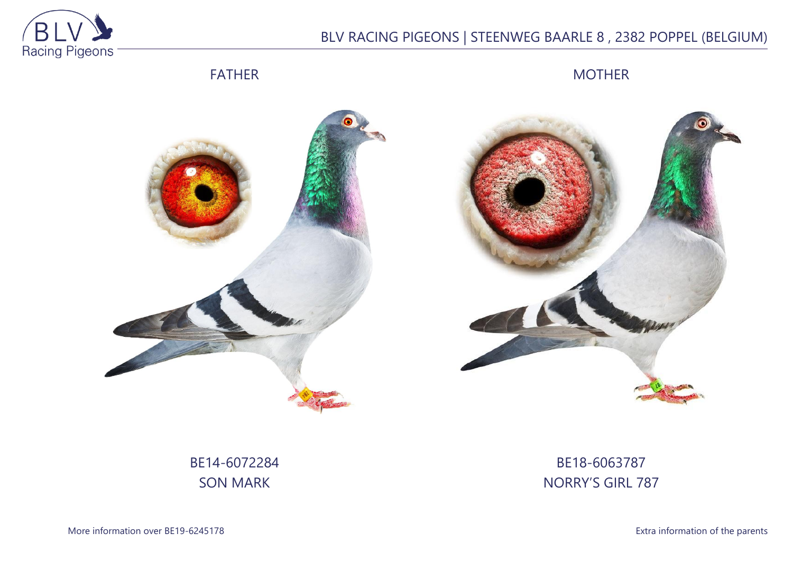

# BLV RACING PIGEONS | STEENWEG BAARLE 8 , 2382 POPPEL (BELGIUM)

## FATHER

MOTHER





# BE14-6072284 SON MARK

## BE18-6063787 NORRY'S GIRL 787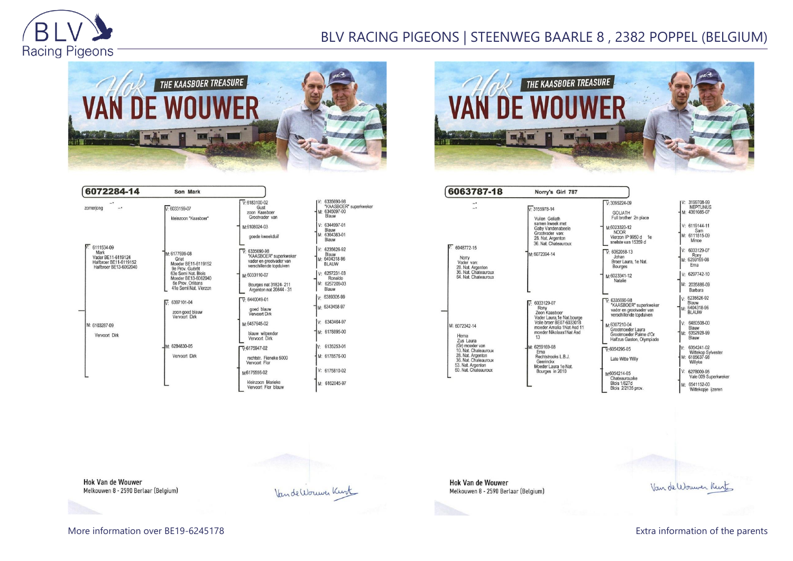

## BLV RACING PIGEONS | STEENWEG BAARLE 8 , 2382 POPPEL (BELGIUM)



| 6072284-14                                                                                              | Son Mark                                                                                |                                                                                                 |                                                                    |
|---------------------------------------------------------------------------------------------------------|-----------------------------------------------------------------------------------------|-------------------------------------------------------------------------------------------------|--------------------------------------------------------------------|
| zomeriona                                                                                               | $V: 6033159-07$<br>kleinzoon "Kaasboer"                                                 | $V.6183100-02$<br>Gust<br>zoon Kaasboer<br>Grootvader van                                       | IV: 6335690-98<br>"KAASBOER" superkweker<br>M: 6345097-00<br>Blauw |
|                                                                                                         |                                                                                         | M:6108024-03<br>goede kweekduif                                                                 | V: 6344997-01<br>Blauw<br>M: 6364383-01<br>Blauw                   |
| $\n  W: 6111534-09\n$<br>Mark<br>Vader BE11-6119124<br>Halfbroer BE11-6119152<br>Halfbroer BE13-6062040 | M: 6177699-08<br>Griet<br>Moeder BE11-6119152<br>9e Prov. Guérét                        | $V: 6335690-98$<br>"KAASBOER" superkweker<br>vader en grootvader van<br>verschillende topduiven | $V: 6235626-92$<br>Blauw<br>M: 6404318-96<br><b>BLAUW</b>          |
|                                                                                                         | 63e Semi Nat. Blois<br>Moeder BE13-6062040<br>6e Prov. Orléans<br>41e Semi Nat. Vierzon | M:6033110-07<br>Bourges nat 31824-211<br>Argenton nat 20844 - 31                                | $V: 6257231-03$<br>Ronaldo<br>M: 6257209-03<br>Blauw               |
|                                                                                                         | $\overline{V}$ : 6397101-04<br>zoon goed blauw<br>Vervoort Dirk                         | $\nabla 6440049-01$<br>goed blauw<br>Veryoort Dirk                                              | v: 6389305-99<br>M: 6343458-97                                     |
| M: 6103287-09                                                                                           |                                                                                         | M:6457645-02                                                                                    | 6343464-97<br>V:                                                   |
| Vervoort Dirk                                                                                           |                                                                                         | blauw witpender<br>Veryoort Dirk                                                                | M: 6178895-00                                                      |
|                                                                                                         | M: 6284830-05                                                                           | $V:6175947-02$                                                                                  | 6135253-01<br>IV:                                                  |
|                                                                                                         | Vervoort Dirk                                                                           | rechtstr. Fieneke 5000<br>Vervoort Flor                                                         | M: 6178576-00                                                      |
|                                                                                                         |                                                                                         | M6175556-02                                                                                     | V: 6175810-02                                                      |
|                                                                                                         |                                                                                         | kleinzoon Marieke<br>Vervoort Flor blauw                                                        | M: 6162045-97                                                      |



6063787-18 Norry's Girl 787 V: 3199708-99<br>NEPTUNUS<br>M: 4361085-07  $\sqrt{V}$ : 3095224-09  $\tilde{\mathbb{I}}$  $\sqrt{2}3155978-14$ GOLIATH<br>Full brother 2n place Vuilen Goliath samen kweek met<br>Gaby Vandenabeele  $V: 6119144-11$ M:6023320-12 **NOOR** Sam<br>M: 6111515-09 Grootvader van:<br>28. Nat. Argenton<br>36. Nat. Chateauroux Vierzon IP 9950 d 1e<br>snelste van 15359 d Minoe 6048772-15 6033129-07  $\nabla$  6062058-13 M: 6072394-14 M: 6259169-08 Norry<br>Vader van: Johan Broer Laura, 1e Nat. Ema vader van:<br>28. Nat. Argenton<br>36. Nat. Chateauroux<br>64. Nat. Chateauroux Bourges  $6297742 - 10$ M:6023341-12 Natalie M: 2035886-09 Barbara 6235626-92 5335690-98<br>KAASBOER\* superkweker  $\overline{\mathbf{r}}$ 6033129-07 Blauw<br>- 6404318-96 Rony<br>Zoon Kaasboer vandbocht superived<br>vader en grootvader van<br>verschillende tonduiven **BLAUW** Zoon Naasooer<br>Vader Laura, 1e Nat.bourge<br>Volle broer BE07-6033018<br>moeder Amalia 1Nat Asd 11 M:6307210-04<br>Grootmoeder Laura 6480508-00 M: 6072342-14 Blauw M: 6352928-99 moeder Nikolaas1Nat Asd Herna<br>Zus Laura<br>(Gr) moeder van<br>10. Nat. Chateauroux Grootmoeder Palme d'Or 13 Blauw Halfzus Gaston, Olympiade V: 6354241-02<br>Wittekop Sylvester<br>M: 6185637-98 M: 6259169-08  $\nabla: 6054295-05$ Erna 10. Nat. Chateauroux<br>28. Nat. Argenton<br>36. Nat. Chateauroux<br>53. Nat. Argenton Erna<br>Rechtstreeks L.B.J.<br>Geerinckx<br>Moeder Laura 1e Nat. Late Witte Willy Willyke 60. Nat. Chateauroux Bourges in 2010 6278009-95 M:6054214-05<br>Chateaurouxke Vale 009 Superkweker **Blois 1/627d** M: 6541152-00<br>Wittekopje ijzeren Blois 2/2135 prov

**Hok Van de Wouwer** Melkouwen 8 - 2590 Berlaar (Belgium)

Van de Wouwer Kirt

**Hok Van de Wouwer** Melkouwen 8 - 2590 Berlaar (Belgium)

Vande Worwer Kurk

More information over BE19-6245178 **Extra information of the parents** Extra information of the parents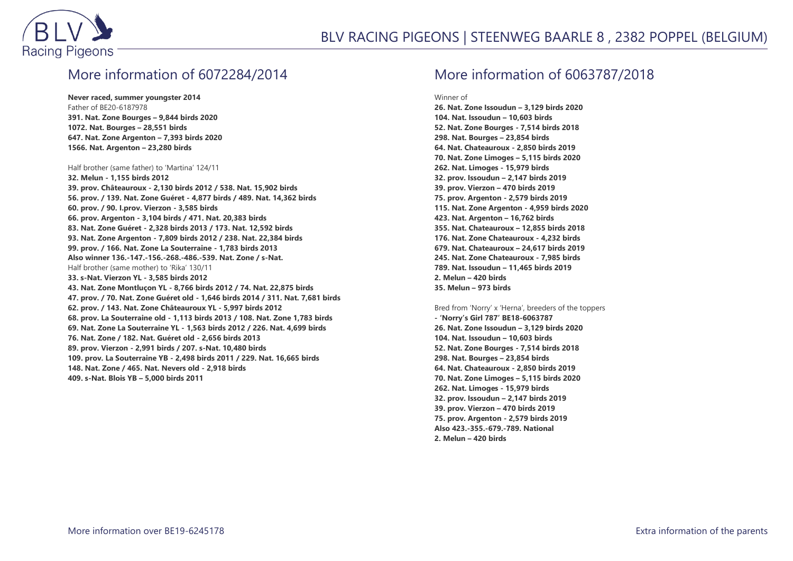

### More information of 6072284/2014

**Never raced, summer youngster 2014** Father of BE20-6187978 **391. Nat. Zone Bourges – 9,844 birds 2020 1072. Nat. Bourges – 28,551 birds 647. Nat. Zone Argenton – 7,393 birds 2020 1566. Nat. Argenton – 23,280 birds**

#### Half brother (same father) to 'Martina' 124/11

**32. Melun - 1,155 birds 2012 39. prov. Châteauroux - 2,130 birds 2012 / 538. Nat. 15,902 birds 56. prov. / 139. Nat. Zone Guéret - 4,877 birds / 489. Nat. 14,362 birds 60. prov. / 90. I.prov. Vierzon - 3,585 birds 66. prov. Argenton - 3,104 birds / 471. Nat. 20,383 birds 83. Nat. Zone Guéret - 2,328 birds 2013 / 173. Nat. 12,592 birds 93. Nat. Zone Argenton - 7,809 birds 2012 / 238. Nat. 22,384 birds 99. prov. / 166. Nat. Zone La Souterraine - 1,783 birds 2013 Also winner 136.-147.-156.-268.-486.-539. Nat. Zone / s-Nat.** Half brother (same mother) to 'Rika' 130/11 **33. s-Nat. Vierzon YL - 3,585 birds 2012 43. Nat. Zone Montluçon YL - 8,766 birds 2012 / 74. Nat. 22,875 birds 47. prov. / 70. Nat. Zone Guéret old - 1,646 birds 2014 / 311. Nat. 7,681 birds 62. prov. / 143. Nat. Zone Châteauroux YL - 5,997 birds 2012 68. prov. La Souterraine old - 1,113 birds 2013 / 108. Nat. Zone 1,783 birds 69. Nat. Zone La Souterraine YL - 1,563 birds 2012 / 226. Nat. 4,699 birds 76. Nat. Zone / 182. Nat. Guéret old - 2,656 birds 2013 89. prov. Vierzon - 2,991 birds / 207. s-Nat. 10,480 birds 109. prov. La Souterraine YB - 2,498 birds 2011 / 229. Nat. 16,665 birds 148. Nat. Zone / 465. Nat. Nevers old - 2,918 birds 409. s-Nat. Blois YB – 5,000 birds 2011**

### More information of 6063787/2018

Winner of

**26. Nat. Zone Issoudun – 3,129 birds 2020 104. Nat. Issoudun – 10,603 birds 52. Nat. Zone Bourges - 7,514 birds 2018 298. Nat. Bourges – 23,854 birds 64. Nat. Chateauroux - 2,850 birds 2019 70. Nat. Zone Limoges – 5,115 birds 2020 262. Nat. Limoges - 15,979 birds 32. prov. Issoudun – 2,147 birds 2019 39. prov. Vierzon – 470 birds 2019 75. prov. Argenton - 2,579 birds 2019 115. Nat. Zone Argenton - 4,959 birds 2020 423. Nat. Argenton – 16,762 birds 355. Nat. Chateauroux – 12,855 birds 2018 176. Nat. Zone Chateauroux - 4,232 birds 679. Nat. Chateauroux – 24,617 birds 2019 245. Nat. Zone Chateauroux - 7,985 birds 789. Nat. Issoudun – 11,465 birds 2019 2. Melun – 420 birds 35. Melun – 973 birds**

Bred from 'Norry' x 'Herna', breeders of the toppers **- 'Norry's Girl 787' BE18-6063787 26. Nat. Zone Issoudun – 3,129 birds 2020 104. Nat. Issoudun – 10,603 birds 52. Nat. Zone Bourges - 7,514 birds 2018 298. Nat. Bourges – 23,854 birds 64. Nat. Chateauroux - 2,850 birds 2019 70. Nat. Zone Limoges – 5,115 birds 2020 262. Nat. Limoges - 15,979 birds 32. prov. Issoudun – 2,147 birds 2019 39. prov. Vierzon – 470 birds 2019 75. prov. Argenton - 2,579 birds 2019 Also 423.-355.-679.-789. National 2. Melun – 420 birds**